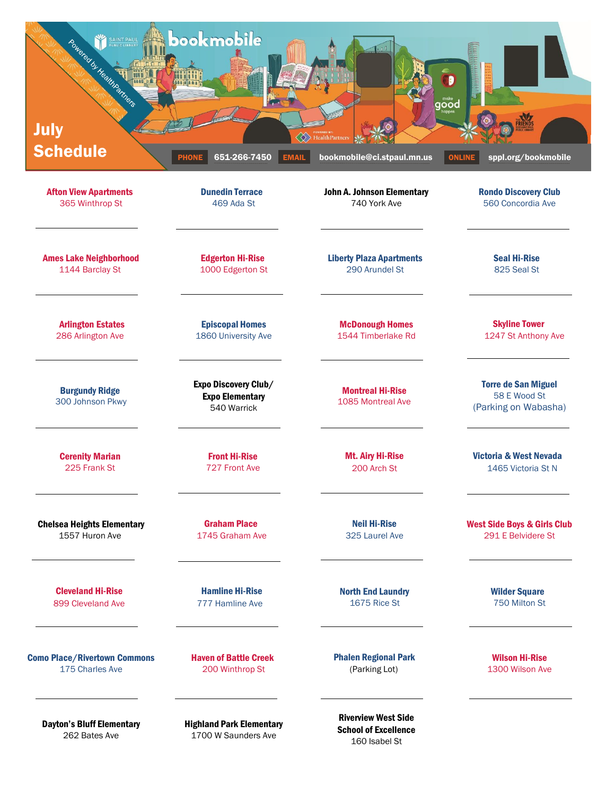